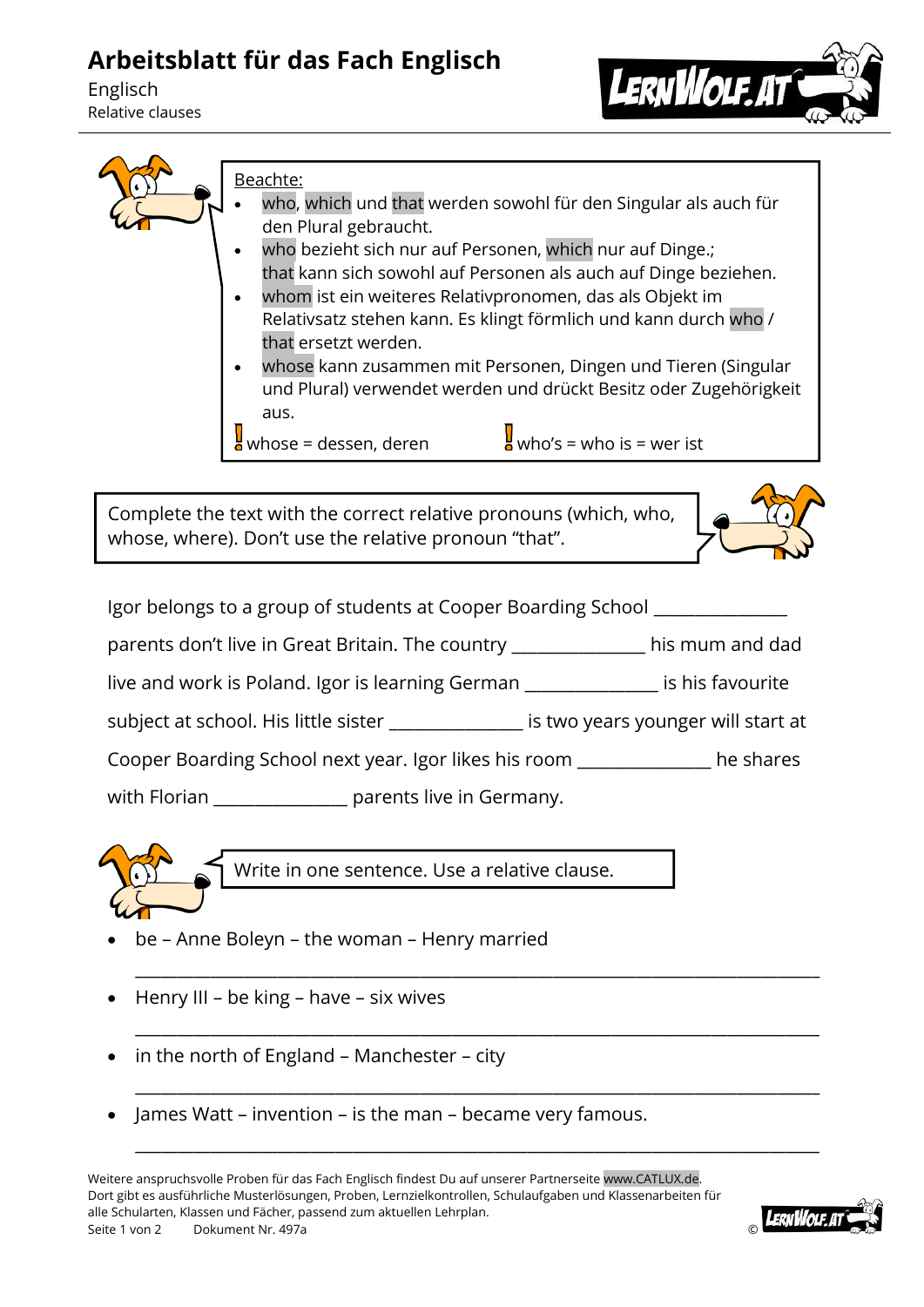## **Arbeitsblatt für das Fach Englisch**

Englisch Relative clauses





Beachte:

- who, which und that werden sowohl für den Singular als auch für den Plural gebraucht.
- who bezieht sich nur auf Personen, which nur auf Dinge.; that kann sich sowohl auf Personen als auch auf Dinge beziehen.
- whom ist ein weiteres Relativpronomen, das als Objekt im Relativsatz stehen kann. Es klingt förmlich und kann durch who / that ersetzt werden.
- whose kann zusammen mit Personen, Dingen und Tieren (Singular und Plural) verwendet werden und drückt Besitz oder Zugehörigkeit aus.

whose = dessen, deren  $\frac{1}{2}$  who's = who is = wer ist

Complete the text with the correct relative pronouns (which, who, whose, where). Don't use the relative pronoun "that".



Igor belongs to a group of students at Cooper Boarding School \_\_\_\_\_\_\_\_\_\_\_\_\_\_\_\_ parents don't live in Great Britain. The country \_\_\_\_\_\_\_\_\_\_\_\_\_\_\_\_ his mum and dad live and work is Poland. Igor is learning German \_\_\_\_\_\_\_\_\_\_\_\_\_\_\_\_ is his favourite subject at school. His little sister **Subject at school.** His little sister at at Cooper Boarding School next year. Igor likes his room \_\_\_\_\_\_\_\_\_\_\_\_\_\_\_\_ he shares with Florian **Example 2** parents live in Germany.

\_\_\_\_\_\_\_\_\_\_\_\_\_\_\_\_\_\_\_\_\_\_\_\_\_\_\_\_\_\_\_\_\_\_\_\_\_\_\_\_\_\_\_\_\_\_\_\_\_\_\_\_\_\_\_\_\_\_\_\_\_\_\_\_\_\_\_\_\_\_\_\_\_\_\_\_\_\_\_\_\_\_

\_\_\_\_\_\_\_\_\_\_\_\_\_\_\_\_\_\_\_\_\_\_\_\_\_\_\_\_\_\_\_\_\_\_\_\_\_\_\_\_\_\_\_\_\_\_\_\_\_\_\_\_\_\_\_\_\_\_\_\_\_\_\_\_\_\_\_\_\_\_\_\_\_\_\_\_\_\_\_\_\_\_

\_\_\_\_\_\_\_\_\_\_\_\_\_\_\_\_\_\_\_\_\_\_\_\_\_\_\_\_\_\_\_\_\_\_\_\_\_\_\_\_\_\_\_\_\_\_\_\_\_\_\_\_\_\_\_\_\_\_\_\_\_\_\_\_\_\_\_\_\_\_\_\_\_\_\_\_\_\_\_\_\_\_

\_\_\_\_\_\_\_\_\_\_\_\_\_\_\_\_\_\_\_\_\_\_\_\_\_\_\_\_\_\_\_\_\_\_\_\_\_\_\_\_\_\_\_\_\_\_\_\_\_\_\_\_\_\_\_\_\_\_\_\_\_\_\_\_\_\_\_\_\_\_\_\_\_\_\_\_\_\_\_\_\_\_



Write in one sentence. Use a relative clause.

- be Anne Boleyn the woman Henry married
- Henry III be king have six wives
- $\bullet$  in the north of England Manchester city
- James Watt invention is the man became very famous.

Weitere anspruchsvolle Proben für das Fach Englisch findest Du auf unserer Partnerseite www.CATLUX.de. Dort gibt es ausführliche Musterlösungen, Proben, Lernzielkontrollen, Schulaufgaben und Klassenarbeiten für alle Schularten, Klassen und Fächer, passend zum aktuellen Lehrplan. Seite 1 von 2 Dokument Nr. 497a